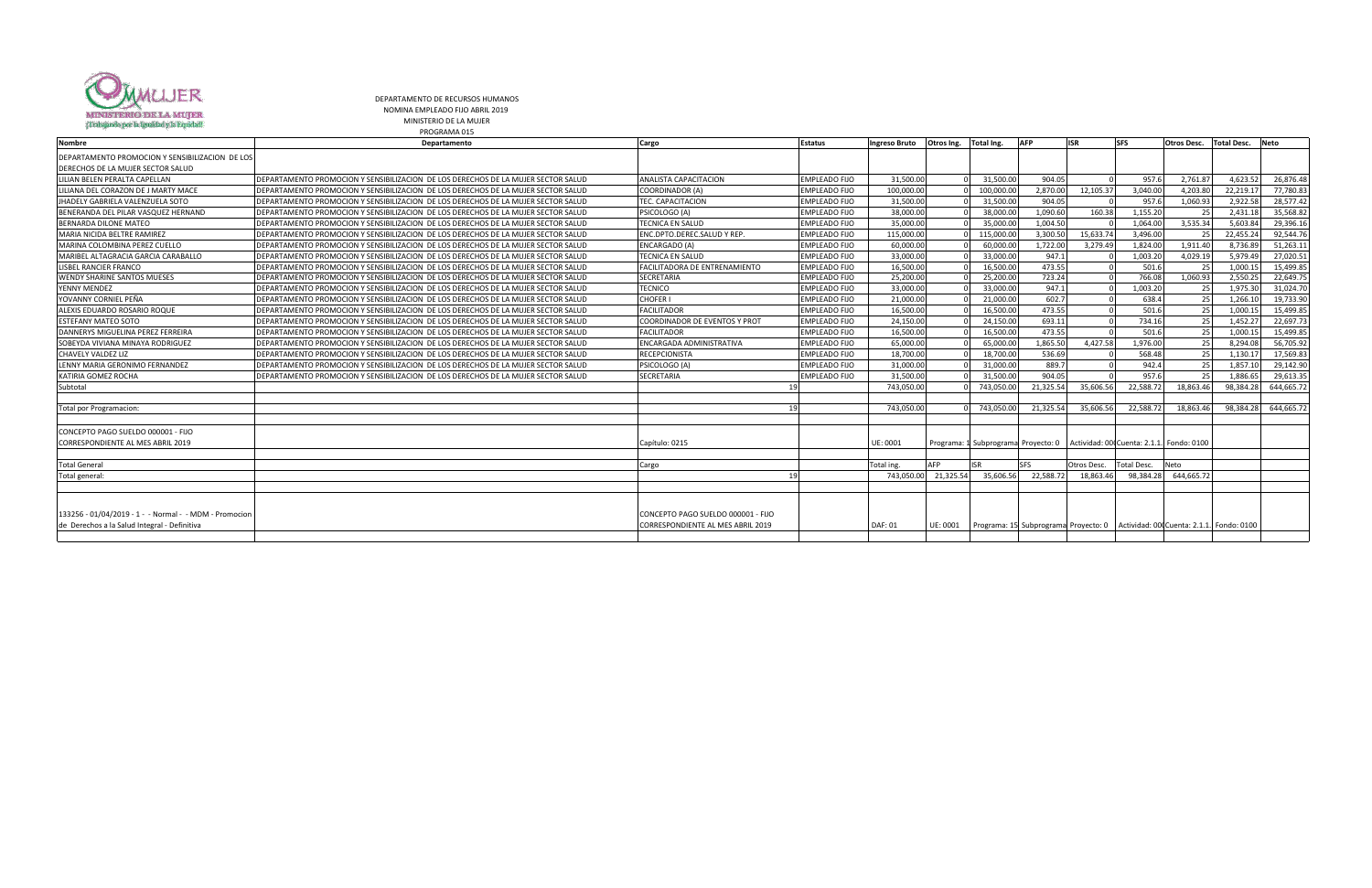

DEPARTAMENTO DE RECURSOS HUMANOS NOMINA EMPLEADO FIJO ABRIL 2019

MINISTERIO DE LA MUJER PROGRAMA 015

| <b>Nombre</b>                                          | Departamento                                                                              | Cargo                                | <b>Estatus</b>       | Ingreso Bruto  | Otros Ing.           | Total Ing. | <b>AFP</b>                          | <b>ISR</b>  | <b>SFS</b>  | <b>Otros Desc.</b>                                                               | <b>Total Desc.</b> | Neto       |
|--------------------------------------------------------|-------------------------------------------------------------------------------------------|--------------------------------------|----------------------|----------------|----------------------|------------|-------------------------------------|-------------|-------------|----------------------------------------------------------------------------------|--------------------|------------|
| DEPARTAMENTO PROMOCION Y SENSIBILIZACION DE LOS        |                                                                                           |                                      |                      |                |                      |            |                                     |             |             |                                                                                  |                    |            |
| DERECHOS DE LA MUJER SECTOR SALUD                      |                                                                                           |                                      |                      |                |                      |            |                                     |             |             |                                                                                  |                    |            |
| LILIAN BELEN PERALTA CAPELLAN                          | IDEPARTAMENTO PROMOCION Y SENSIBILIZACION DE LOS DERECHOS DE LA MUJER SECTOR SALUD        | <b>ANALISTA CAPACITACION</b>         | <b>EMPLEADO FIJO</b> | 31,500.00      |                      | 31,500.00  | 904.05                              |             | 957.6       | 2,761.87                                                                         | 4.623.52           | 26,876.48  |
| LILIANA DEL CORAZON DE J MARTY MACE                    | <b>IDEPARTAMENTO PROMOCION Y SENSIBILIZACION DE LOS DERECHOS DE LA MUJER SECTOR SALUD</b> | <b>COORDINADOR (A)</b>               | <b>EMPLEADO FIJO</b> | 100.000.00     |                      | 100,000.00 | 2,870.00                            | 12,105.37   | 3.040.00    | 4.203.80                                                                         | 22,219.17          | 77,780.83  |
| JHADELY GABRIELA VALENZUELA SOTO                       | DEPARTAMENTO PROMOCION Y SENSIBILIZACION DE LOS DERECHOS DE LA MUJER SECTOR SALUD         | TEC. CAPACITACION                    | <b>EMPLEADO FIJO</b> | 31,500.00      |                      | 31,500.00  | 904.05                              |             | 957.6       | 1,060.93                                                                         | 2,922.58           | 28,577.42  |
| BENERANDA DEL PILAR VASQUEZ HERNAND                    | DEPARTAMENTO PROMOCION Y SENSIBILIZACION DE LOS DERECHOS DE LA MUJER SECTOR SALUD         | PSICOLOGO (A)                        | <b>EMPLEADO FIJO</b> | 38,000.00      |                      | 38,000.00  | 1,090.60                            | 160.38      | 1,155.20    | -25                                                                              | 2,431.18           | 35,568.82  |
| <b>BERNARDA DILONE MATEO</b>                           | <b>IDEPARTAMENTO PROMOCION Y SENSIBILIZACION DE LOS DERECHOS DE LA MUJER SECTOR SALUD</b> | <b>TECNICA EN SALUD</b>              | <b>EMPLEADO FIJO</b> | 35,000.00      |                      | 35,000.00  | 1,004.50                            |             | 1,064.00    | 3,535.34                                                                         | 5,603.84           | 29,396.16  |
| MARIA NICIDA BELTRE RAMIREZ                            | <b>IDEPARTAMENTO PROMOCION Y SENSIBILIZACION DE LOS DERECHOS DE LA MUJER SECTOR SALUD</b> | ENC.DPTO.DEREC.SALUD Y REP.          | <b>EMPLEADO FIJO</b> | 115,000.00     |                      | 115,000.00 | 3,300.50                            | 15,633.74   | 3,496.00    | -25                                                                              | 22,455.24          | 92,544.76  |
| MARINA COLOMBINA PEREZ CUELLO                          | <b>IDEPARTAMENTO PROMOCION Y SENSIBILIZACION DE LOS DERECHOS DE LA MUJER SECTOR SALUD</b> | <b>ENCARGADO (A)</b>                 | <b>EMPLEADO FIJO</b> | 60,000.00      |                      | 60,000.00  | 1,722.00                            | 3,279.49    | 1,824.00    | 1,911.40                                                                         | 8,736.89           | 51,263.11  |
| MARIBEL ALTAGRACIA GARCIA CARABALLO                    | DEPARTAMENTO PROMOCION Y SENSIBILIZACION DE LOS DERECHOS DE LA MUJER SECTOR SALUD         | <b>TECNICA EN SALUD</b>              | <b>EMPLEADO FIJO</b> | 33.000.00      |                      | 33.000.00  | 947.1                               |             | 1,003.20    | 4,029.19                                                                         | 5,979.49           | 27,020.51  |
| LISBEL RANCIER FRANCO                                  | <b>IDEPARTAMENTO PROMOCION Y SENSIBILIZACION DE LOS DERECHOS DE LA MUJER SECTOR SALUD</b> | <b>FACILITADORA DE ENTRENAMIENTO</b> | <b>EMPLEADO FIJO</b> | 16,500.00      |                      | 16,500.00  | 473.55                              |             | 501.6       | -25                                                                              | 1,000.15           | 15,499.85  |
| <b>WENDY SHARINE SANTOS MUESES</b>                     | <b>IDEPARTAMENTO PROMOCION Y SENSIBILIZACION DE LOS DERECHOS DE LA MUJER SECTOR SALUD</b> | <b>SECRETARIA</b>                    | <b>EMPLEADO FIJO</b> | 25,200.00      |                      | 25,200.00  | 723.24                              |             | 766.08      | 1,060.93                                                                         | 2,550.25           | 22,649.75  |
| YENNY MENDEZ                                           | IDEPARTAMENTO PROMOCION Y SENSIBILIZACION DE LOS DERECHOS DE LA MUJER SECTOR SALUD        | <b>TECNICO</b>                       | <b>EMPLEADO FIJO</b> | 33,000.00      |                      | 33,000.00  | 947.1                               |             | 1,003.20    | 25                                                                               | 1,975.30           | 31,024.70  |
| YOVANNY CORNIEL PEÑA                                   | <b>IDEPARTAMENTO PROMOCION Y SENSIBILIZACION DE LOS DERECHOS DE LA MUJER SECTOR SALUD</b> | <b>CHOFER</b>                        | <b>EMPLEADO FIJO</b> | 21.000.00      |                      | 21,000.00  | 602.7                               |             | 638.4       | 25                                                                               | 1,266.10           | 19,733.90  |
| ALEXIS EDUARDO ROSARIO ROQUE                           | <b>IDEPARTAMENTO PROMOCION Y SENSIBILIZACION DE LOS DERECHOS DE LA MUJER SECTOR SALUD</b> | <b>FACILITADOR</b>                   | <b>EMPLEADO FIJO</b> | 16,500.00      |                      | 16,500.00  | 473.55                              |             | 501.6       | 25                                                                               | 1,000.15           | 15,499.85  |
| <b>ESTEFANY MATEO SOTO</b>                             | <b>IDEPARTAMENTO PROMOCION Y SENSIBILIZACION DE LOS DERECHOS DE LA MUJER SECTOR SALUD</b> | <b>COORDINADOR DE EVENTOS Y PROT</b> | <b>EMPLEADO FIJO</b> | 24,150.00      |                      | 24,150.00  | 693.11                              |             | 734.16      | 25                                                                               | 1,452.27           | 22,697.73  |
| DANNERYS MIGUELINA PEREZ FERREIRA                      | DEPARTAMENTO PROMOCION Y SENSIBILIZACION DE LOS DERECHOS DE LA MUJER SECTOR SALUD         | <b>FACILITADOR</b>                   | <b>EMPLEADO FIJO</b> | 16,500.00      |                      | 16,500.00  | 473.55                              |             | 501.6       | 25                                                                               | 1,000.15           | 15,499.85  |
| SOBEYDA VIVIANA MINAYA RODRIGUEZ                       | DEPARTAMENTO PROMOCION Y SENSIBILIZACION DE LOS DERECHOS DE LA MUJER SECTOR SALUD         | ENCARGADA ADMINISTRATIVA             | <b>EMPLEADO FIJO</b> | 65,000.00      |                      | 65,000.00  | 1,865.50                            | 4,427.58    | 1,976.00    | 25                                                                               | 8,294.08           | 56,705.92  |
| CHAVELY VALDEZ LIZ                                     | <b>IDEPARTAMENTO PROMOCION Y SENSIBILIZACION DE LOS DERECHOS DE LA MUJER SECTOR SALUD</b> | <b>RECEPCIONISTA</b>                 | <b>EMPLEADO FIJO</b> | 18,700.00      |                      | 18,700.00  | 536.69                              |             | 568.48      | 25                                                                               | 1,130.17           | 17,569.83  |
| LENNY MARIA GERONIMO FERNANDEZ                         | DEPARTAMENTO PROMOCION Y SENSIBILIZACION DE LOS DERECHOS DE LA MUJER SECTOR SALUD         | PSICOLOGO (A)                        | <b>EMPLEADO FIJO</b> | 31,000.00      |                      | 31,000.00  | 889.7                               |             | 942.4       | 25                                                                               | 1,857.10           | 29,142.90  |
| KATIRIA GOMEZ ROCHA                                    | IDEPARTAMENTO PROMOCION Y SENSIBILIZACION DE LOS DERECHOS DE LA MUJER SECTOR SALUD        | <b>SECRETARIA</b>                    | <b>EMPLEADO FIJO</b> | 31,500.00      |                      | 31,500.00  | 904.05                              |             | 957.6       | 25                                                                               | 1,886.65           | 29,613.35  |
| Subtotal                                               |                                                                                           |                                      |                      | 743,050.00     |                      | 743,050.00 | 21,325.54                           | 35,606.56   | 22,588.7    | 18,863.46                                                                        | 98,384.28          | 644,665.72 |
|                                                        |                                                                                           |                                      |                      |                |                      |            |                                     |             |             |                                                                                  |                    |            |
| Total por Programacion:                                |                                                                                           |                                      | 19                   | 743.050.00     |                      | 743.050.00 | 21,325.54                           | 35,606.5    | 22,588.7    | 18,863.46                                                                        | 98,384.28          | 644,665.72 |
|                                                        |                                                                                           |                                      |                      |                |                      |            |                                     |             |             |                                                                                  |                    |            |
| CONCEPTO PAGO SUELDO 000001 - FIJO                     |                                                                                           |                                      |                      |                |                      |            |                                     |             |             |                                                                                  |                    |            |
| <b>CORRESPONDIENTE AL MES ABRIL 2019</b>               |                                                                                           | Capítulo: 0215                       |                      | UE: 0001       |                      |            | Programa: 1 Subprograma Proyecto: 0 |             |             | Actividad: 000 Cuenta: 2.1.1. Fondo: 0100                                        |                    |            |
|                                                        |                                                                                           |                                      |                      |                |                      |            |                                     |             |             |                                                                                  |                    |            |
| <b>Total General</b>                                   |                                                                                           | Cargo                                |                      | Total ing.     | <b>AFP</b>           | <b>ISR</b> | <b>SFS</b>                          | Otros Desc. | Total Desc. | Neto                                                                             |                    |            |
| Total general:                                         |                                                                                           |                                      |                      |                | 743,050.00 21,325.54 | 35,606.56  | 22,588.72                           | 18,863.46   | 98,384.28   | 644,665.72                                                                       |                    |            |
|                                                        |                                                                                           |                                      |                      |                |                      |            |                                     |             |             |                                                                                  |                    |            |
|                                                        |                                                                                           |                                      |                      |                |                      |            |                                     |             |             |                                                                                  |                    |            |
| 133256 - 01/04/2019 - 1 - - Normal - - MDM - Promocion |                                                                                           | CONCEPTO PAGO SUELDO 000001 - FIJO   |                      |                |                      |            |                                     |             |             |                                                                                  |                    |            |
| de Derechos a la Salud Integral - Definitiva           |                                                                                           | CORRESPONDIENTE AL MES ABRIL 2019    |                      | <b>DAF: 01</b> | UE: 0001             |            |                                     |             |             | Programa: 15 Subprograma Proyecto: 0   Actividad: 00 Cuenta: 2.1.1   Fondo: 0100 |                    |            |
|                                                        |                                                                                           |                                      |                      |                |                      |            |                                     |             |             |                                                                                  |                    |            |